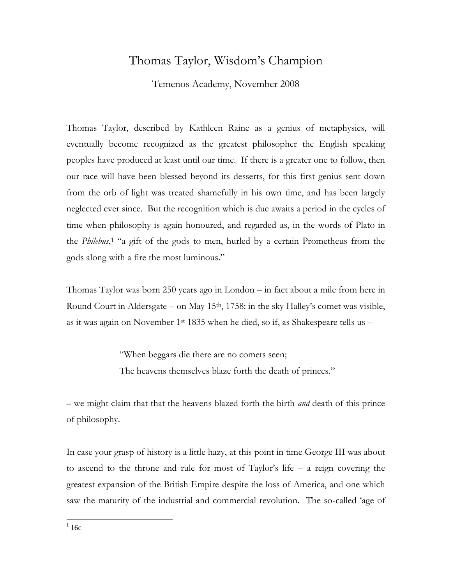## Thomas Taylor, Wisdom's Champion

Temenos Academy, November 2008

Thomas Taylor, described by Kathleen Raine as a genius of metaphysics, will eventually become recognized as the greatest philosopher the English speaking peoples have produced at least until our time. If there is a greater one to follow, then our race will have been blessed beyond its desserts, for this first genius sent down from the orb of light was treated shamefully in his own time, and has been largely neglected ever since. But the recognition which is due awaits a period in the cycles of time when philosophy is again honoured, and regarded as, in the words of Plato in the *Philebus*, <sup>1</sup> "a gift of the gods to men, hurled by a certain Prometheus from the gods along with a fire the most luminous."

Thomas Taylor was born 250 years ago in London – in fact about a mile from here in Round Court in Aldersgate – on May  $15<sup>th</sup>$ , 1758: in the sky Halley's comet was visible, as it was again on November 1st 1835 when he died, so if, as Shakespeare tells us –

> "When beggars die there are no comets seen; The heavens themselves blaze forth the death of princes."

– we might claim that that the heavens blazed forth the birth *and* death of this prince of philosophy.

In case your grasp of history is a little hazy, at this point in time George III was about to ascend to the throne and rule for most of Taylor's life – a reign covering the greatest expansion of the British Empire despite the loss of America, and one which saw the maturity of the industrial and commercial revolution. The so-called 'age of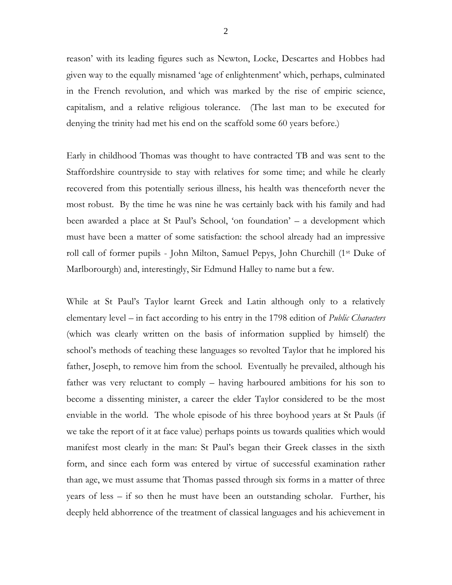reason' with its leading figures such as Newton, Locke, Descartes and Hobbes had given way to the equally misnamed 'age of enlightenment' which, perhaps, culminated in the French revolution, and which was marked by the rise of empiric science, capitalism, and a relative religious tolerance. (The last man to be executed for denying the trinity had met his end on the scaffold some 60 years before.)

Early in childhood Thomas was thought to have contracted TB and was sent to the Staffordshire countryside to stay with relatives for some time; and while he clearly recovered from this potentially serious illness, his health was thenceforth never the most robust. By the time he was nine he was certainly back with his family and had been awarded a place at St Paul's School, 'on foundation' – a development which must have been a matter of some satisfaction: the school already had an impressive roll call of former pupils - John Milton, Samuel Pepys, John Churchill (1st Duke of Marlborourgh) and, interestingly, Sir Edmund Halley to name but a few.

While at St Paul's Taylor learnt Greek and Latin although only to a relatively elementary level – in fact according to his entry in the 1798 edition of *Public Characters*  (which was clearly written on the basis of information supplied by himself) the school's methods of teaching these languages so revolted Taylor that he implored his father, Joseph, to remove him from the school. Eventually he prevailed, although his father was very reluctant to comply – having harboured ambitions for his son to become a dissenting minister, a career the elder Taylor considered to be the most enviable in the world. The whole episode of his three boyhood years at St Pauls (if we take the report of it at face value) perhaps points us towards qualities which would manifest most clearly in the man: St Paul's began their Greek classes in the sixth form, and since each form was entered by virtue of successful examination rather than age, we must assume that Thomas passed through six forms in a matter of three years of less – if so then he must have been an outstanding scholar. Further, his deeply held abhorrence of the treatment of classical languages and his achievement in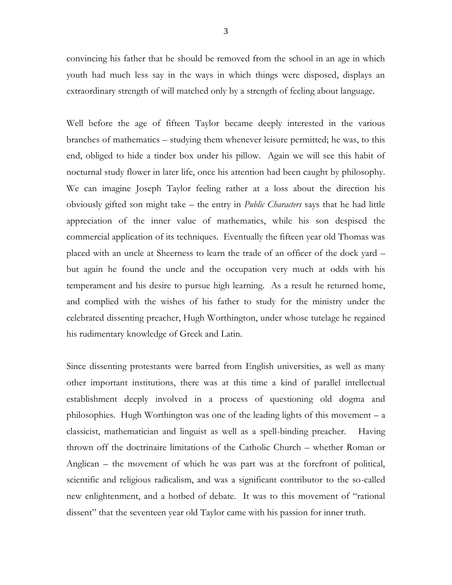convincing his father that he should be removed from the school in an age in which youth had much less say in the ways in which things were disposed, displays an extraordinary strength of will matched only by a strength of feeling about language.

Well before the age of fifteen Taylor became deeply interested in the various branches of mathematics – studying them whenever leisure permitted; he was, to this end, obliged to hide a tinder box under his pillow. Again we will see this habit of nocturnal study flower in later life, once his attention had been caught by philosophy. We can imagine Joseph Taylor feeling rather at a loss about the direction his obviously gifted son might take – the entry in *Public Characters* says that he had little appreciation of the inner value of mathematics, while his son despised the commercial application of its techniques. Eventually the fifteen year old Thomas was placed with an uncle at Sheerness to learn the trade of an officer of the dock yard – but again he found the uncle and the occupation very much at odds with his temperament and his desire to pursue high learning. As a result he returned home, and complied with the wishes of his father to study for the ministry under the celebrated dissenting preacher, Hugh Worthington, under whose tutelage he regained his rudimentary knowledge of Greek and Latin.

Since dissenting protestants were barred from English universities, as well as many other important institutions, there was at this time a kind of parallel intellectual establishment deeply involved in a process of questioning old dogma and philosophies. Hugh Worthington was one of the leading lights of this movement – a classicist, mathematician and linguist as well as a spell-binding preacher. Having thrown off the doctrinaire limitations of the Catholic Church – whether Roman or Anglican – the movement of which he was part was at the forefront of political, scientific and religious radicalism, and was a significant contributor to the so-called new enlightenment, and a hotbed of debate. It was to this movement of "rational dissent" that the seventeen year old Taylor came with his passion for inner truth.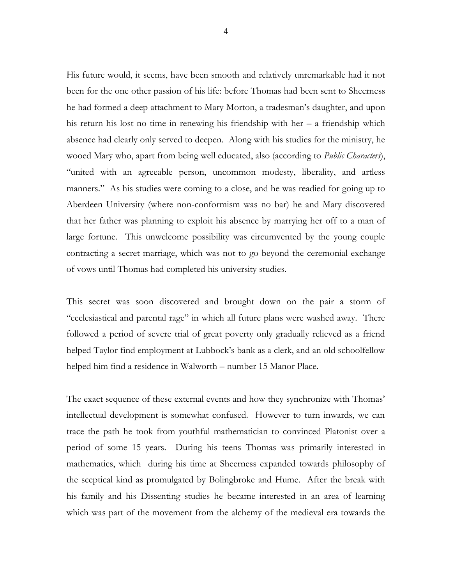His future would, it seems, have been smooth and relatively unremarkable had it not been for the one other passion of his life: before Thomas had been sent to Sheerness he had formed a deep attachment to Mary Morton, a tradesman's daughter, and upon his return his lost no time in renewing his friendship with her – a friendship which absence had clearly only served to deepen. Along with his studies for the ministry, he wooed Mary who, apart from being well educated, also (according to *Public Characters*), "united with an agreeable person, uncommon modesty, liberality, and artless manners." As his studies were coming to a close, and he was readied for going up to Aberdeen University (where non-conformism was no bar) he and Mary discovered that her father was planning to exploit his absence by marrying her off to a man of large fortune. This unwelcome possibility was circumvented by the young couple contracting a secret marriage, which was not to go beyond the ceremonial exchange of vows until Thomas had completed his university studies.

This secret was soon discovered and brought down on the pair a storm of "ecclesiastical and parental rage" in which all future plans were washed away. There followed a period of severe trial of great poverty only gradually relieved as a friend helped Taylor find employment at Lubbock's bank as a clerk, and an old schoolfellow helped him find a residence in Walworth – number 15 Manor Place.

The exact sequence of these external events and how they synchronize with Thomas' intellectual development is somewhat confused. However to turn inwards, we can trace the path he took from youthful mathematician to convinced Platonist over a period of some 15 years. During his teens Thomas was primarily interested in mathematics, which during his time at Sheerness expanded towards philosophy of the sceptical kind as promulgated by Bolingbroke and Hume. After the break with his family and his Dissenting studies he became interested in an area of learning which was part of the movement from the alchemy of the medieval era towards the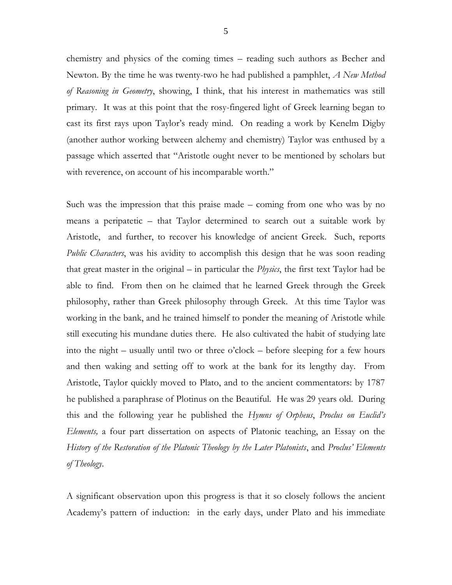chemistry and physics of the coming times – reading such authors as Becher and Newton. By the time he was twenty-two he had published a pamphlet, *A New Method of Reasoning in Geometry*, showing, I think, that his interest in mathematics was still primary. It was at this point that the rosy-fingered light of Greek learning began to cast its first rays upon Taylor's ready mind. On reading a work by Kenelm Digby (another author working between alchemy and chemistry) Taylor was enthused by a passage which asserted that "Aristotle ought never to be mentioned by scholars but with reverence, on account of his incomparable worth."

Such was the impression that this praise made – coming from one who was by no means a peripatetic – that Taylor determined to search out a suitable work by Aristotle, and further, to recover his knowledge of ancient Greek. Such, reports *Public Characters*, was his avidity to accomplish this design that he was soon reading that great master in the original – in particular the *Physics*, the first text Taylor had be able to find. From then on he claimed that he learned Greek through the Greek philosophy, rather than Greek philosophy through Greek. At this time Taylor was working in the bank, and he trained himself to ponder the meaning of Aristotle while still executing his mundane duties there. He also cultivated the habit of studying late into the night – usually until two or three o'clock – before sleeping for a few hours and then waking and setting off to work at the bank for its lengthy day. From Aristotle, Taylor quickly moved to Plato, and to the ancient commentators: by 1787 he published a paraphrase of Plotinus on the Beautiful. He was 29 years old. During this and the following year he published the *Hymns of Orpheus*, *Proclus on Euclid's Elements,* a four part dissertation on aspects of Platonic teaching, an Essay on the *History of the Restoration of the Platonic Theology by the Later Platonists*, and *Proclus' Elements of Theology*.

A significant observation upon this progress is that it so closely follows the ancient Academy's pattern of induction: in the early days, under Plato and his immediate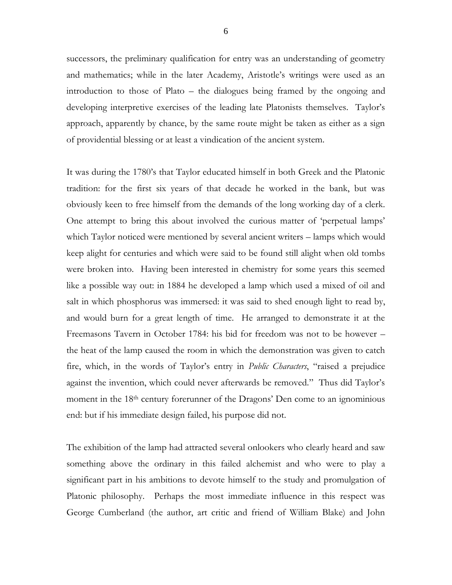successors, the preliminary qualification for entry was an understanding of geometry and mathematics; while in the later Academy, Aristotle's writings were used as an introduction to those of Plato – the dialogues being framed by the ongoing and developing interpretive exercises of the leading late Platonists themselves. Taylor's approach, apparently by chance, by the same route might be taken as either as a sign of providential blessing or at least a vindication of the ancient system.

It was during the 1780's that Taylor educated himself in both Greek and the Platonic tradition: for the first six years of that decade he worked in the bank, but was obviously keen to free himself from the demands of the long working day of a clerk. One attempt to bring this about involved the curious matter of 'perpetual lamps' which Taylor noticed were mentioned by several ancient writers – lamps which would keep alight for centuries and which were said to be found still alight when old tombs were broken into. Having been interested in chemistry for some years this seemed like a possible way out: in 1884 he developed a lamp which used a mixed of oil and salt in which phosphorus was immersed: it was said to shed enough light to read by, and would burn for a great length of time. He arranged to demonstrate it at the Freemasons Tavern in October 1784: his bid for freedom was not to be however – the heat of the lamp caused the room in which the demonstration was given to catch fire, which, in the words of Taylor's entry in *Public Characters*, "raised a prejudice against the invention, which could never afterwards be removed." Thus did Taylor's moment in the 18<sup>th</sup> century forerunner of the Dragons' Den come to an ignominious end: but if his immediate design failed, his purpose did not.

The exhibition of the lamp had attracted several onlookers who clearly heard and saw something above the ordinary in this failed alchemist and who were to play a significant part in his ambitions to devote himself to the study and promulgation of Platonic philosophy. Perhaps the most immediate influence in this respect was George Cumberland (the author, art critic and friend of William Blake) and John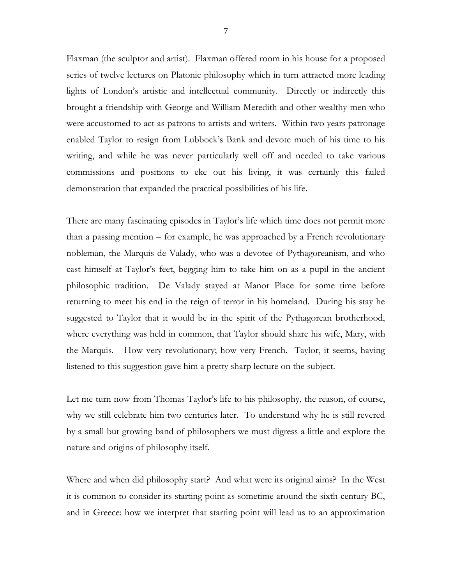Flaxman (the sculptor and artist). Flaxman offered room in his house for a proposed series of twelve lectures on Platonic philosophy which in turn attracted more leading lights of London's artistic and intellectual community. Directly or indirectly this brought a friendship with George and William Meredith and other wealthy men who were accustomed to act as patrons to artists and writers. Within two years patronage enabled Taylor to resign from Lubbock's Bank and devote much of his time to his writing, and while he was never particularly well off and needed to take various commissions and positions to eke out his living, it was certainly this failed demonstration that expanded the practical possibilities of his life.

There are many fascinating episodes in Taylor's life which time does not permit more than a passing mention – for example, he was approached by a French revolutionary nobleman, the Marquis de Valady, who was a devotee of Pythagoreanism, and who cast himself at Taylor's feet, begging him to take him on as a pupil in the ancient philosophic tradition. De Valady stayed at Manor Place for some time before returning to meet his end in the reign of terror in his homeland. During his stay he suggested to Taylor that it would be in the spirit of the Pythagorean brotherhood, where everything was held in common, that Taylor should share his wife, Mary, with the Marquis. How very revolutionary; how very French. Taylor, it seems, having listened to this suggestion gave him a pretty sharp lecture on the subject.

Let me turn now from Thomas Taylor's life to his philosophy, the reason, of course, why we still celebrate him two centuries later. To understand why he is still revered by a small but growing band of philosophers we must digress a little and explore the nature and origins of philosophy itself.

Where and when did philosophy start? And what were its original aims? In the West it is common to consider its starting point as sometime around the sixth century BC, and in Greece: how we interpret that starting point will lead us to an approximation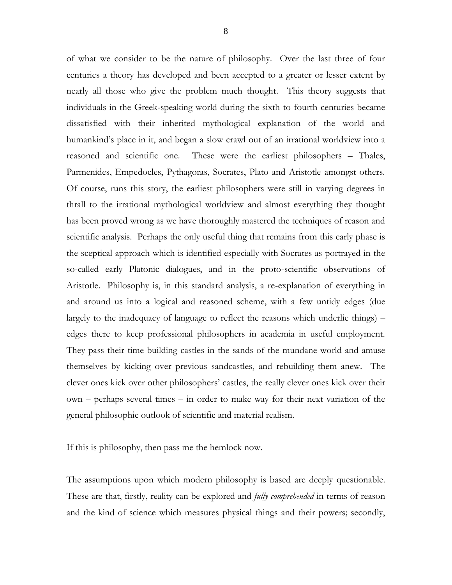of what we consider to be the nature of philosophy. Over the last three of four centuries a theory has developed and been accepted to a greater or lesser extent by nearly all those who give the problem much thought. This theory suggests that individuals in the Greek-speaking world during the sixth to fourth centuries became dissatisfied with their inherited mythological explanation of the world and humankind's place in it, and began a slow crawl out of an irrational worldview into a reasoned and scientific one. These were the earliest philosophers – Thales, Parmenides, Empedocles, Pythagoras, Socrates, Plato and Aristotle amongst others. Of course, runs this story, the earliest philosophers were still in varying degrees in thrall to the irrational mythological worldview and almost everything they thought has been proved wrong as we have thoroughly mastered the techniques of reason and scientific analysis. Perhaps the only useful thing that remains from this early phase is the sceptical approach which is identified especially with Socrates as portrayed in the so-called early Platonic dialogues, and in the proto-scientific observations of Aristotle. Philosophy is, in this standard analysis, a re-explanation of everything in and around us into a logical and reasoned scheme, with a few untidy edges (due largely to the inadequacy of language to reflect the reasons which underlie things) – edges there to keep professional philosophers in academia in useful employment. They pass their time building castles in the sands of the mundane world and amuse themselves by kicking over previous sandcastles, and rebuilding them anew. The clever ones kick over other philosophers' castles, the really clever ones kick over their own – perhaps several times – in order to make way for their next variation of the

If this is philosophy, then pass me the hemlock now.

general philosophic outlook of scientific and material realism.

The assumptions upon which modern philosophy is based are deeply questionable. These are that, firstly, reality can be explored and *fully comprehended* in terms of reason and the kind of science which measures physical things and their powers; secondly,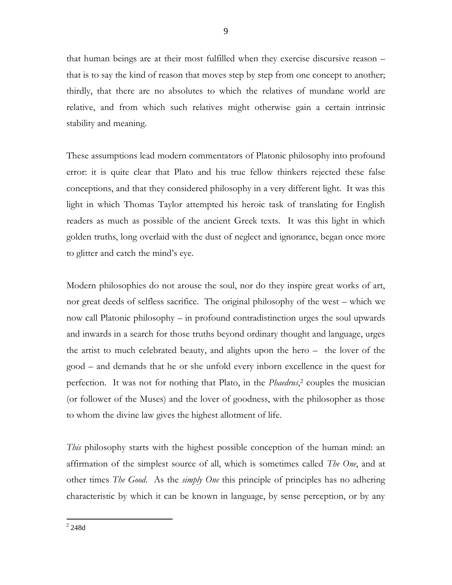that human beings are at their most fulfilled when they exercise discursive reason – that is to say the kind of reason that moves step by step from one concept to another; thirdly, that there are no absolutes to which the relatives of mundane world are relative, and from which such relatives might otherwise gain a certain intrinsic stability and meaning.

These assumptions lead modern commentators of Platonic philosophy into profound error: it is quite clear that Plato and his true fellow thinkers rejected these false conceptions, and that they considered philosophy in a very different light. It was this light in which Thomas Taylor attempted his heroic task of translating for English readers as much as possible of the ancient Greek texts. It was this light in which golden truths, long overlaid with the dust of neglect and ignorance, began once more to glitter and catch the mind's eye.

Modern philosophies do not arouse the soul, nor do they inspire great works of art, nor great deeds of selfless sacrifice. The original philosophy of the west – which we now call Platonic philosophy – in profound contradistinction urges the soul upwards and inwards in a search for those truths beyond ordinary thought and language, urges the artist to much celebrated beauty, and alights upon the hero – the lover of the good – and demands that he or she unfold every inborn excellence in the quest for perfection. It was not for nothing that Plato, in the *Phaedrus*, <sup>2</sup> couples the musician (or follower of the Muses) and the lover of goodness, with the philosopher as those to whom the divine law gives the highest allotment of life.

*This* philosophy starts with the highest possible conception of the human mind: an affirmation of the simplest source of all, which is sometimes called *The One*, and at other times *The Good*. As the *simply One* this principle of principles has no adhering characteristic by which it can be known in language, by sense perception, or by any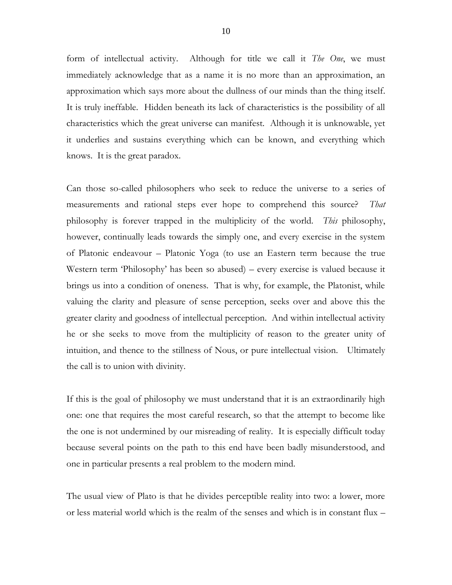form of intellectual activity. Although for title we call it *The One*, we must immediately acknowledge that as a name it is no more than an approximation, an approximation which says more about the dullness of our minds than the thing itself. It is truly ineffable. Hidden beneath its lack of characteristics is the possibility of all characteristics which the great universe can manifest. Although it is unknowable, yet it underlies and sustains everything which can be known, and everything which knows. It is the great paradox.

Can those so-called philosophers who seek to reduce the universe to a series of measurements and rational steps ever hope to comprehend this source? *That*  philosophy is forever trapped in the multiplicity of the world. *This* philosophy, however, continually leads towards the simply one, and every exercise in the system of Platonic endeavour – Platonic Yoga (to use an Eastern term because the true Western term 'Philosophy' has been so abused) – every exercise is valued because it brings us into a condition of oneness. That is why, for example, the Platonist, while valuing the clarity and pleasure of sense perception, seeks over and above this the greater clarity and goodness of intellectual perception. And within intellectual activity he or she seeks to move from the multiplicity of reason to the greater unity of intuition, and thence to the stillness of Nous, or pure intellectual vision. Ultimately the call is to union with divinity.

If this is the goal of philosophy we must understand that it is an extraordinarily high one: one that requires the most careful research, so that the attempt to become like the one is not undermined by our misreading of reality. It is especially difficult today because several points on the path to this end have been badly misunderstood, and one in particular presents a real problem to the modern mind.

The usual view of Plato is that he divides perceptible reality into two: a lower, more or less material world which is the realm of the senses and which is in constant flux –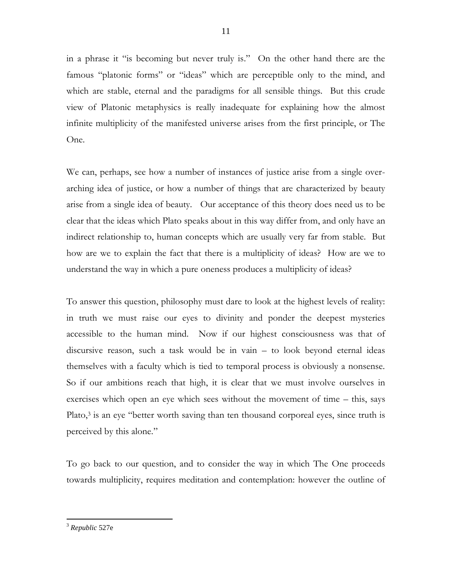in a phrase it "is becoming but never truly is." On the other hand there are the famous "platonic forms" or "ideas" which are perceptible only to the mind, and which are stable, eternal and the paradigms for all sensible things. But this crude view of Platonic metaphysics is really inadequate for explaining how the almost infinite multiplicity of the manifested universe arises from the first principle, or The One.

We can, perhaps, see how a number of instances of justice arise from a single overarching idea of justice, or how a number of things that are characterized by beauty arise from a single idea of beauty. Our acceptance of this theory does need us to be clear that the ideas which Plato speaks about in this way differ from, and only have an indirect relationship to, human concepts which are usually very far from stable. But how are we to explain the fact that there is a multiplicity of ideas? How are we to understand the way in which a pure oneness produces a multiplicity of ideas?

To answer this question, philosophy must dare to look at the highest levels of reality: in truth we must raise our eyes to divinity and ponder the deepest mysteries accessible to the human mind. Now if our highest consciousness was that of discursive reason, such a task would be in vain – to look beyond eternal ideas themselves with a faculty which is tied to temporal process is obviously a nonsense. So if our ambitions reach that high, it is clear that we must involve ourselves in exercises which open an eye which sees without the movement of time – this, says Plato,<sup>3</sup> is an eye "better worth saving than ten thousand corporeal eyes, since truth is perceived by this alone."

To go back to our question, and to consider the way in which The One proceeds towards multiplicity, requires meditation and contemplation: however the outline of

 $\overline{a}$ <sup>3</sup> *Republic* 527e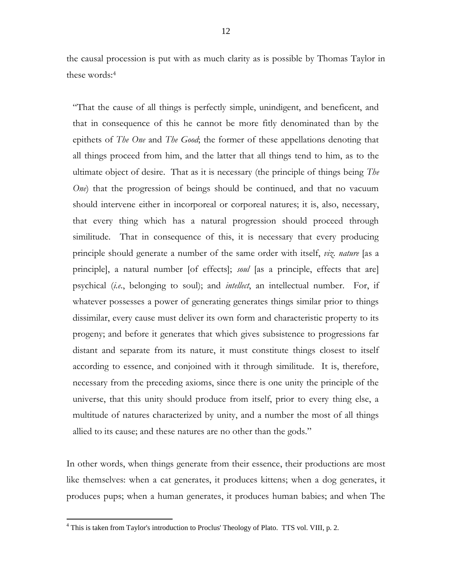the causal procession is put with as much clarity as is possible by Thomas Taylor in these words:<sup>4</sup>

"That the cause of all things is perfectly simple, unindigent, and beneficent, and that in consequence of this he cannot be more fitly denominated than by the epithets of *The One* and *The Good*; the former of these appellations denoting that all things proceed from him, and the latter that all things tend to him, as to the ultimate object of desire. That as it is necessary (the principle of things being *The One*) that the progression of beings should be continued, and that no vacuum should intervene either in incorporeal or corporeal natures; it is, also, necessary, that every thing which has a natural progression should proceed through similitude. That in consequence of this, it is necessary that every producing principle should generate a number of the same order with itself, *viz*. *nature* [as a principle], a natural number [of effects]; *soul* [as a principle, effects that are] psychical (*i.e*., belonging to soul); and *intellect*, an intellectual number. For, if whatever possesses a power of generating generates things similar prior to things dissimilar, every cause must deliver its own form and characteristic property to its progeny; and before it generates that which gives subsistence to progressions far distant and separate from its nature, it must constitute things closest to itself according to essence, and conjoined with it through similitude. It is, therefore, necessary from the preceding axioms, since there is one unity the principle of the universe, that this unity should produce from itself, prior to every thing else, a multitude of natures characterized by unity, and a number the most of all things allied to its cause; and these natures are no other than the gods."

In other words, when things generate from their essence, their productions are most like themselves: when a cat generates, it produces kittens; when a dog generates, it produces pups; when a human generates, it produces human babies; and when The

 $4$  This is taken from Taylor's introduction to Proclus' Theology of Plato. TTS vol. VIII, p. 2.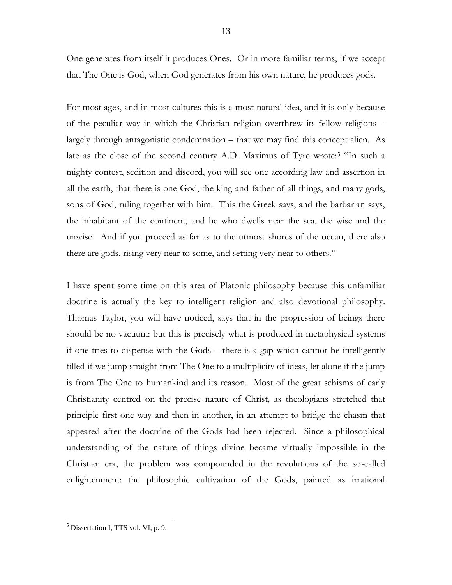One generates from itself it produces Ones. Or in more familiar terms, if we accept that The One is God, when God generates from his own nature, he produces gods.

For most ages, and in most cultures this is a most natural idea, and it is only because of the peculiar way in which the Christian religion overthrew its fellow religions – largely through antagonistic condemnation – that we may find this concept alien. As late as the close of the second century A.D. Maximus of Tyre wrote:<sup>5</sup> "In such a mighty contest, sedition and discord, you will see one according law and assertion in all the earth, that there is one God, the king and father of all things, and many gods, sons of God, ruling together with him. This the Greek says, and the barbarian says, the inhabitant of the continent, and he who dwells near the sea, the wise and the unwise. And if you proceed as far as to the utmost shores of the ocean, there also there are gods, rising very near to some, and setting very near to others."

I have spent some time on this area of Platonic philosophy because this unfamiliar doctrine is actually the key to intelligent religion and also devotional philosophy. Thomas Taylor, you will have noticed, says that in the progression of beings there should be no vacuum: but this is precisely what is produced in metaphysical systems if one tries to dispense with the Gods – there is a gap which cannot be intelligently filled if we jump straight from The One to a multiplicity of ideas, let alone if the jump is from The One to humankind and its reason. Most of the great schisms of early Christianity centred on the precise nature of Christ, as theologians stretched that principle first one way and then in another, in an attempt to bridge the chasm that appeared after the doctrine of the Gods had been rejected. Since a philosophical understanding of the nature of things divine became virtually impossible in the Christian era, the problem was compounded in the revolutions of the so-called enlightenment: the philosophic cultivation of the Gods, painted as irrational

 $<sup>5</sup>$  Dissertation I, TTS vol. VI, p. 9.</sup>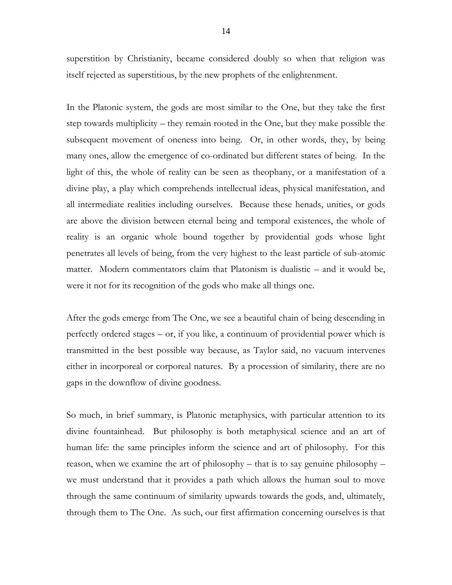superstition by Christianity, became considered doubly so when that religion was itself rejected as superstitious, by the new prophets of the enlightenment.

In the Platonic system, the gods are most similar to the One, but they take the first step towards multiplicity – they remain rooted in the One, but they make possible the subsequent movement of oneness into being. Or, in other words, they, by being many ones, allow the emergence of co-ordinated but different states of being. In the light of this, the whole of reality can be seen as theophany, or a manifestation of a divine play, a play which comprehends intellectual ideas, physical manifestation, and all intermediate realities including ourselves. Because these henads, unities, or gods are above the division between eternal being and temporal existences, the whole of reality is an organic whole bound together by providential gods whose light penetrates all levels of being, from the very highest to the least particle of sub-atomic matter. Modern commentators claim that Platonism is dualistic – and it would be, were it not for its recognition of the gods who make all things one.

After the gods emerge from The One, we see a beautiful chain of being descending in perfectly ordered stages – or, if you like, a continuum of providential power which is transmitted in the best possible way because, as Taylor said, no vacuum intervenes either in incorporeal or corporeal natures. By a procession of similarity, there are no gaps in the downflow of divine goodness.

So much, in brief summary, is Platonic metaphysics, with particular attention to its divine fountainhead. But philosophy is both metaphysical science and an art of human life: the same principles inform the science and art of philosophy. For this reason, when we examine the art of philosophy – that is to say genuine philosophy – we must understand that it provides a path which allows the human soul to move through the same continuum of similarity upwards towards the gods, and, ultimately, through them to The One. As such, our first affirmation concerning ourselves is that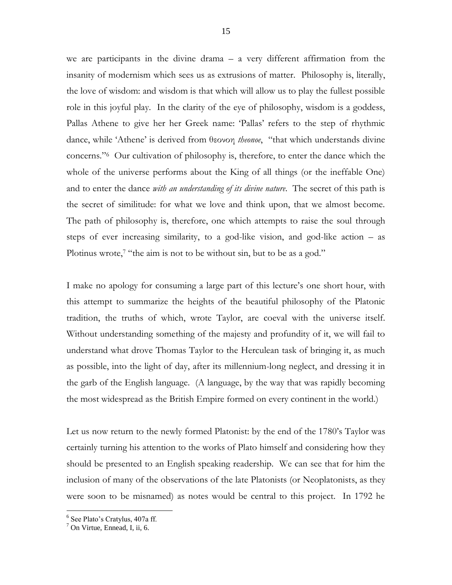we are participants in the divine drama – a very different affirmation from the insanity of modernism which sees us as extrusions of matter. Philosophy is, literally, the love of wisdom: and wisdom is that which will allow us to play the fullest possible role in this joyful play. In the clarity of the eye of philosophy, wisdom is a goddess, Pallas Athene to give her her Greek name: 'Pallas' refers to the step of rhythmic dance, while 'Athene' is derived from θεονοη *theonoe*, "that which understands divine concerns."<sup>6</sup> Our cultivation of philosophy is, therefore, to enter the dance which the whole of the universe performs about the King of all things (or the ineffable One) and to enter the dance *with an understanding of its divine nature*. The secret of this path is the secret of similitude: for what we love and think upon, that we almost become. The path of philosophy is, therefore, one which attempts to raise the soul through steps of ever increasing similarity, to a god-like vision, and god-like action – as Plotinus wrote,<sup>7</sup> "the aim is not to be without sin, but to be as a god."

I make no apology for consuming a large part of this lecture's one short hour, with this attempt to summarize the heights of the beautiful philosophy of the Platonic tradition, the truths of which, wrote Taylor, are coeval with the universe itself. Without understanding something of the majesty and profundity of it, we will fail to understand what drove Thomas Taylor to the Herculean task of bringing it, as much as possible, into the light of day, after its millennium-long neglect, and dressing it in the garb of the English language. (A language, by the way that was rapidly becoming the most widespread as the British Empire formed on every continent in the world.)

Let us now return to the newly formed Platonist: by the end of the 1780's Taylor was certainly turning his attention to the works of Plato himself and considering how they should be presented to an English speaking readership. We can see that for him the inclusion of many of the observations of the late Platonists (or Neoplatonists, as they were soon to be misnamed) as notes would be central to this project. In 1792 he

<sup>6</sup> See Plato's Cratylus, 407a ff.

 $<sup>7</sup>$  On Virtue, Ennead, I, ii, 6.</sup>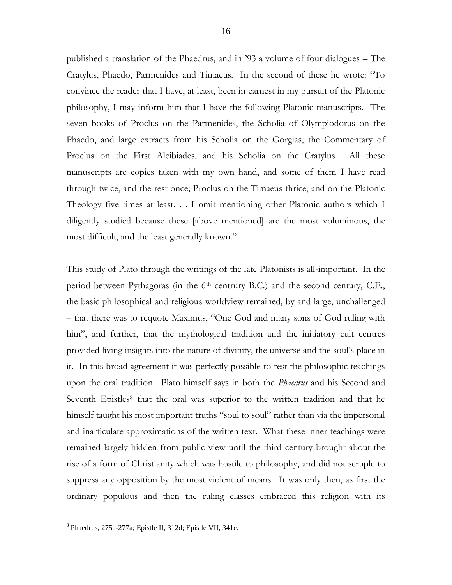published a translation of the Phaedrus, and in '93 a volume of four dialogues – The Cratylus, Phaedo, Parmenides and Timaeus. In the second of these he wrote: "To convince the reader that I have, at least, been in earnest in my pursuit of the Platonic philosophy, I may inform him that I have the following Platonic manuscripts. The seven books of Proclus on the Parmenides, the Scholia of Olympiodorus on the Phaedo, and large extracts from his Scholia on the Gorgias, the Commentary of Proclus on the First Alcibiades, and his Scholia on the Cratylus. All these manuscripts are copies taken with my own hand, and some of them I have read through twice, and the rest once; Proclus on the Timaeus thrice, and on the Platonic Theology five times at least. . . I omit mentioning other Platonic authors which I diligently studied because these [above mentioned] are the most voluminous, the most difficult, and the least generally known."

This study of Plato through the writings of the late Platonists is all-important. In the period between Pythagoras (in the 6<sup>th</sup> centrury B.C.) and the second century, C.E., the basic philosophical and religious worldview remained, by and large, unchallenged – that there was to requote Maximus, "One God and many sons of God ruling with him", and further, that the mythological tradition and the initiatory cult centres provided living insights into the nature of divinity, the universe and the soul's place in it. In this broad agreement it was perfectly possible to rest the philosophic teachings upon the oral tradition. Plato himself says in both the *Phaedrus* and his Second and Seventh Epistles<sup>8</sup> that the oral was superior to the written tradition and that he himself taught his most important truths "soul to soul" rather than via the impersonal and inarticulate approximations of the written text. What these inner teachings were remained largely hidden from public view until the third century brought about the rise of a form of Christianity which was hostile to philosophy, and did not scruple to suppress any opposition by the most violent of means. It was only then, as first the ordinary populous and then the ruling classes embraced this religion with its

<sup>8</sup> Phaedrus, 275a-277a; Epistle II, 312d; Epistle VII, 341c.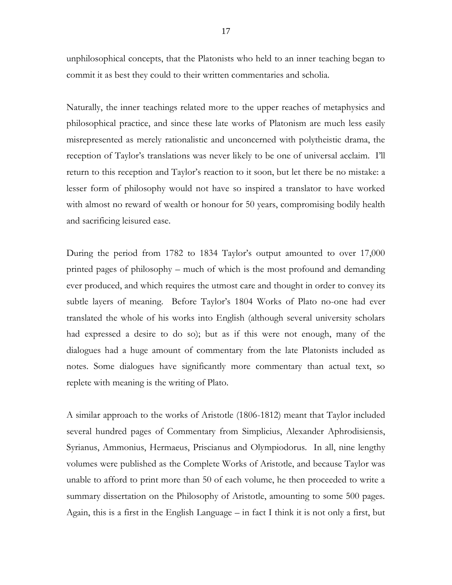unphilosophical concepts, that the Platonists who held to an inner teaching began to commit it as best they could to their written commentaries and scholia.

Naturally, the inner teachings related more to the upper reaches of metaphysics and philosophical practice, and since these late works of Platonism are much less easily misrepresented as merely rationalistic and unconcerned with polytheistic drama, the reception of Taylor's translations was never likely to be one of universal acclaim. I'll return to this reception and Taylor's reaction to it soon, but let there be no mistake: a lesser form of philosophy would not have so inspired a translator to have worked with almost no reward of wealth or honour for 50 years, compromising bodily health and sacrificing leisured ease.

During the period from 1782 to 1834 Taylor's output amounted to over 17,000 printed pages of philosophy – much of which is the most profound and demanding ever produced, and which requires the utmost care and thought in order to convey its subtle layers of meaning. Before Taylor's 1804 Works of Plato no-one had ever translated the whole of his works into English (although several university scholars had expressed a desire to do so); but as if this were not enough, many of the dialogues had a huge amount of commentary from the late Platonists included as notes. Some dialogues have significantly more commentary than actual text, so replete with meaning is the writing of Plato.

A similar approach to the works of Aristotle (1806-1812) meant that Taylor included several hundred pages of Commentary from Simplicius, Alexander Aphrodisiensis, Syrianus, Ammonius, Hermaeus, Priscianus and Olympiodorus. In all, nine lengthy volumes were published as the Complete Works of Aristotle, and because Taylor was unable to afford to print more than 50 of each volume, he then proceeded to write a summary dissertation on the Philosophy of Aristotle, amounting to some 500 pages. Again, this is a first in the English Language – in fact I think it is not only a first, but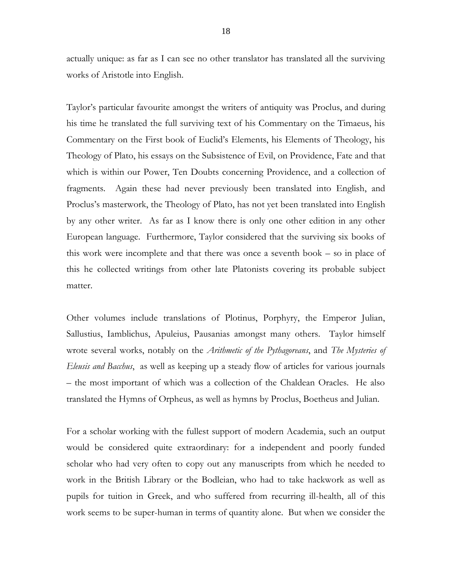actually unique: as far as I can see no other translator has translated all the surviving works of Aristotle into English.

Taylor's particular favourite amongst the writers of antiquity was Proclus, and during his time he translated the full surviving text of his Commentary on the Timaeus, his Commentary on the First book of Euclid's Elements, his Elements of Theology, his Theology of Plato, his essays on the Subsistence of Evil, on Providence, Fate and that which is within our Power, Ten Doubts concerning Providence, and a collection of fragments. Again these had never previously been translated into English, and Proclus's masterwork, the Theology of Plato, has not yet been translated into English by any other writer. As far as I know there is only one other edition in any other European language. Furthermore, Taylor considered that the surviving six books of this work were incomplete and that there was once a seventh book – so in place of this he collected writings from other late Platonists covering its probable subject matter.

Other volumes include translations of Plotinus, Porphyry, the Emperor Julian, Sallustius, Iamblichus, Apuleius, Pausanias amongst many others. Taylor himself wrote several works, notably on the *Arithmetic of the Pythagoreans*, and *The Mysteries of Eleusis and Bacchus*, as well as keeping up a steady flow of articles for various journals – the most important of which was a collection of the Chaldean Oracles. He also translated the Hymns of Orpheus, as well as hymns by Proclus, Boetheus and Julian.

For a scholar working with the fullest support of modern Academia, such an output would be considered quite extraordinary: for a independent and poorly funded scholar who had very often to copy out any manuscripts from which he needed to work in the British Library or the Bodleian, who had to take hackwork as well as pupils for tuition in Greek, and who suffered from recurring ill-health, all of this work seems to be super-human in terms of quantity alone. But when we consider the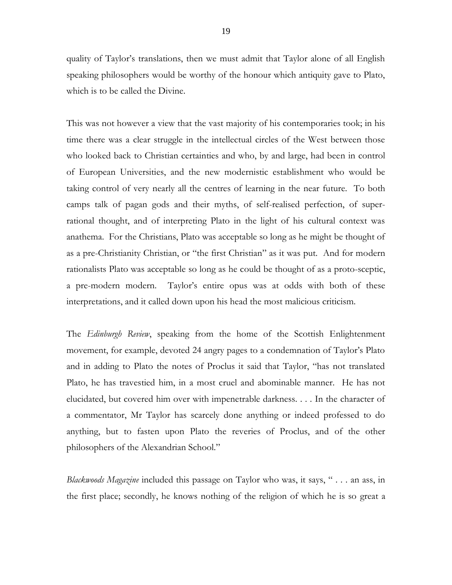quality of Taylor's translations, then we must admit that Taylor alone of all English speaking philosophers would be worthy of the honour which antiquity gave to Plato, which is to be called the Divine.

This was not however a view that the vast majority of his contemporaries took; in his time there was a clear struggle in the intellectual circles of the West between those who looked back to Christian certainties and who, by and large, had been in control of European Universities, and the new modernistic establishment who would be taking control of very nearly all the centres of learning in the near future. To both camps talk of pagan gods and their myths, of self-realised perfection, of superrational thought, and of interpreting Plato in the light of his cultural context was anathema. For the Christians, Plato was acceptable so long as he might be thought of as a pre-Christianity Christian, or "the first Christian" as it was put. And for modern rationalists Plato was acceptable so long as he could be thought of as a proto-sceptic, a pre-modern modern. Taylor's entire opus was at odds with both of these interpretations, and it called down upon his head the most malicious criticism.

The *Edinburgh Review*, speaking from the home of the Scottish Enlightenment movement, for example, devoted 24 angry pages to a condemnation of Taylor's Plato and in adding to Plato the notes of Proclus it said that Taylor, "has not translated Plato, he has travestied him, in a most cruel and abominable manner. He has not elucidated, but covered him over with impenetrable darkness. . . . In the character of a commentator, Mr Taylor has scarcely done anything or indeed professed to do anything, but to fasten upon Plato the reveries of Proclus, and of the other philosophers of the Alexandrian School."

*Blackwoods Magazine* included this passage on Taylor who was, it says, " . . . an ass, in the first place; secondly, he knows nothing of the religion of which he is so great a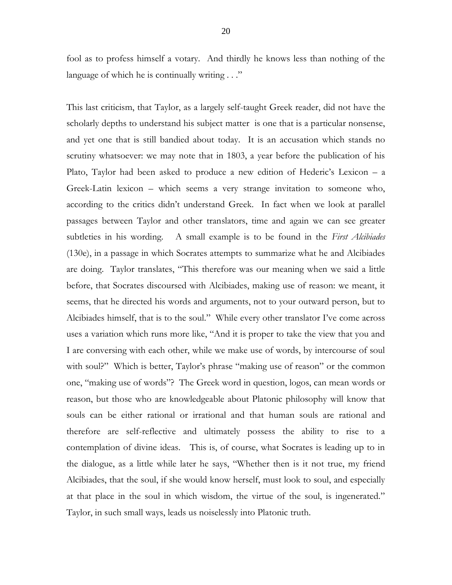fool as to profess himself a votary. And thirdly he knows less than nothing of the language of which he is continually writing . . ."

This last criticism, that Taylor, as a largely self-taught Greek reader, did not have the scholarly depths to understand his subject matter is one that is a particular nonsense, and yet one that is still bandied about today. It is an accusation which stands no scrutiny whatsoever: we may note that in 1803, a year before the publication of his Plato, Taylor had been asked to produce a new edition of Hederic's Lexicon – a Greek-Latin lexicon – which seems a very strange invitation to someone who, according to the critics didn't understand Greek. In fact when we look at parallel passages between Taylor and other translators, time and again we can see greater subtleties in his wording. A small example is to be found in the *First Alcibiades* (130e), in a passage in which Socrates attempts to summarize what he and Alcibiades are doing. Taylor translates, "This therefore was our meaning when we said a little before, that Socrates discoursed with Alcibiades, making use of reason: we meant, it seems, that he directed his words and arguments, not to your outward person, but to Alcibiades himself, that is to the soul." While every other translator I've come across uses a variation which runs more like, "And it is proper to take the view that you and I are conversing with each other, while we make use of words, by intercourse of soul with soul?" Which is better, Taylor's phrase "making use of reason" or the common one, "making use of words"? The Greek word in question, logos, can mean words or reason, but those who are knowledgeable about Platonic philosophy will know that souls can be either rational or irrational and that human souls are rational and therefore are self-reflective and ultimately possess the ability to rise to a contemplation of divine ideas. This is, of course, what Socrates is leading up to in the dialogue, as a little while later he says, "Whether then is it not true, my friend Alcibiades, that the soul, if she would know herself, must look to soul, and especially at that place in the soul in which wisdom, the virtue of the soul, is ingenerated." Taylor, in such small ways, leads us noiselessly into Platonic truth.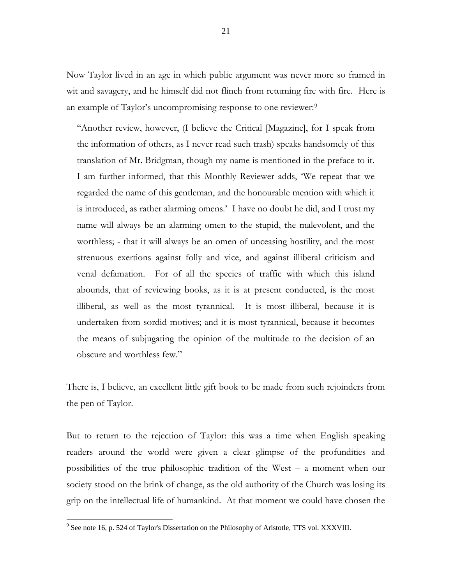Now Taylor lived in an age in which public argument was never more so framed in wit and savagery, and he himself did not flinch from returning fire with fire. Here is an example of Taylor's uncompromising response to one reviewer:<sup>9</sup>

"Another review, however, (I believe the Critical [Magazine], for I speak from the information of others, as I never read such trash) speaks handsomely of this translation of Mr. Bridgman, though my name is mentioned in the preface to it. I am further informed, that this Monthly Reviewer adds, 'We repeat that we regarded the name of this gentleman, and the honourable mention with which it is introduced, as rather alarming omens.' I have no doubt he did, and I trust my name will always be an alarming omen to the stupid, the malevolent, and the worthless; - that it will always be an omen of unceasing hostility, and the most strenuous exertions against folly and vice, and against illiberal criticism and venal defamation. For of all the species of traffic with which this island abounds, that of reviewing books, as it is at present conducted, is the most illiberal, as well as the most tyrannical. It is most illiberal, because it is undertaken from sordid motives; and it is most tyrannical, because it becomes the means of subjugating the opinion of the multitude to the decision of an obscure and worthless few."

There is, I believe, an excellent little gift book to be made from such rejoinders from the pen of Taylor.

But to return to the rejection of Taylor: this was a time when English speaking readers around the world were given a clear glimpse of the profundities and possibilities of the true philosophic tradition of the West – a moment when our society stood on the brink of change, as the old authority of the Church was losing its grip on the intellectual life of humankind. At that moment we could have chosen the

 $9^9$  See note 16, p. 524 of Taylor's Dissertation on the Philosophy of Aristotle, TTS vol. XXXVIII.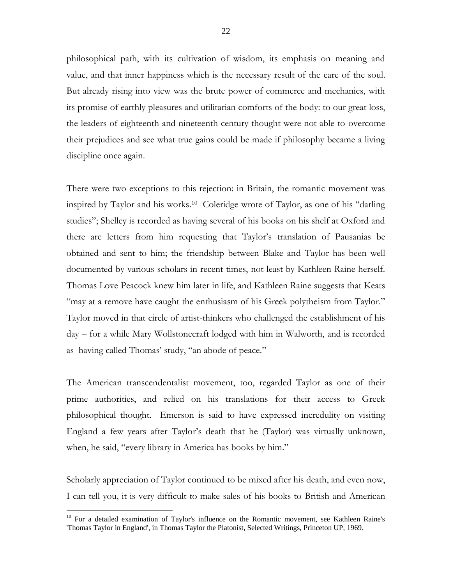philosophical path, with its cultivation of wisdom, its emphasis on meaning and value, and that inner happiness which is the necessary result of the care of the soul. But already rising into view was the brute power of commerce and mechanics, with its promise of earthly pleasures and utilitarian comforts of the body: to our great loss, the leaders of eighteenth and nineteenth century thought were not able to overcome their prejudices and see what true gains could be made if philosophy became a living discipline once again.

There were two exceptions to this rejection: in Britain, the romantic movement was inspired by Taylor and his works.<sup>10</sup> Coleridge wrote of Taylor, as one of his "darling studies"; Shelley is recorded as having several of his books on his shelf at Oxford and there are letters from him requesting that Taylor's translation of Pausanias be obtained and sent to him; the friendship between Blake and Taylor has been well documented by various scholars in recent times, not least by Kathleen Raine herself. Thomas Love Peacock knew him later in life, and Kathleen Raine suggests that Keats "may at a remove have caught the enthusiasm of his Greek polytheism from Taylor." Taylor moved in that circle of artist-thinkers who challenged the establishment of his day – for a while Mary Wollstonecraft lodged with him in Walworth, and is recorded as having called Thomas' study, "an abode of peace."

The American transcendentalist movement, too, regarded Taylor as one of their prime authorities, and relied on his translations for their access to Greek philosophical thought. Emerson is said to have expressed incredulity on visiting England a few years after Taylor's death that he (Taylor) was virtually unknown, when, he said, "every library in America has books by him."

Scholarly appreciation of Taylor continued to be mixed after his death, and even now, I can tell you, it is very difficult to make sales of his books to British and American

<sup>&</sup>lt;sup>10</sup> For a detailed examination of Taylor's influence on the Romantic movement, see Kathleen Raine's 'Thomas Taylor in England', in Thomas Taylor the Platonist, Selected Writings, Princeton UP, 1969.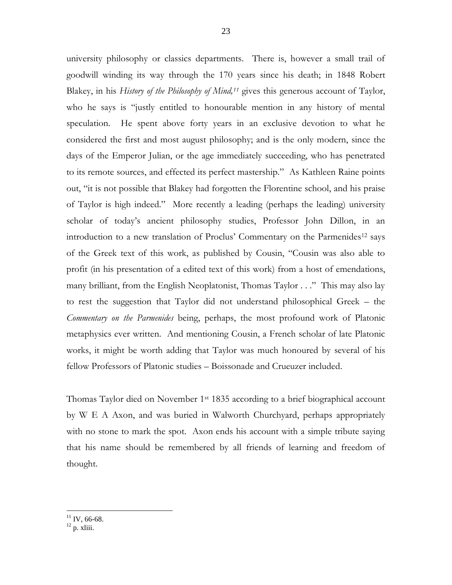university philosophy or classics departments. There is, however a small trail of goodwill winding its way through the 170 years since his death; in 1848 Robert Blakey, in his *History of the Philosophy of Mind,<sup>11</sup>* gives this generous account of Taylor, who he says is "justly entitled to honourable mention in any history of mental speculation. He spent above forty years in an exclusive devotion to what he considered the first and most august philosophy; and is the only modern, since the days of the Emperor Julian, or the age immediately succeeding, who has penetrated to its remote sources, and effected its perfect mastership." As Kathleen Raine points out, "it is not possible that Blakey had forgotten the Florentine school, and his praise of Taylor is high indeed." More recently a leading (perhaps the leading) university scholar of today's ancient philosophy studies, Professor John Dillon, in an introduction to a new translation of Proclus' Commentary on the Parmenides<sup>12</sup> says of the Greek text of this work, as published by Cousin, "Cousin was also able to profit (in his presentation of a edited text of this work) from a host of emendations, many brilliant, from the English Neoplatonist, Thomas Taylor . . ." This may also lay to rest the suggestion that Taylor did not understand philosophical Greek – the *Commentary on the Parmenides* being, perhaps, the most profound work of Platonic metaphysics ever written. And mentioning Cousin, a French scholar of late Platonic works, it might be worth adding that Taylor was much honoured by several of his fellow Professors of Platonic studies – Boissonade and Crueuzer included.

Thomas Taylor died on November 1st 1835 according to a brief biographical account by W E A Axon, and was buried in Walworth Churchyard, perhaps appropriately with no stone to mark the spot. Axon ends his account with a simple tribute saying that his name should be remembered by all friends of learning and freedom of thought.

 $\overline{a}$  $11$  IV, 66-68.

 $12$  p. xliii.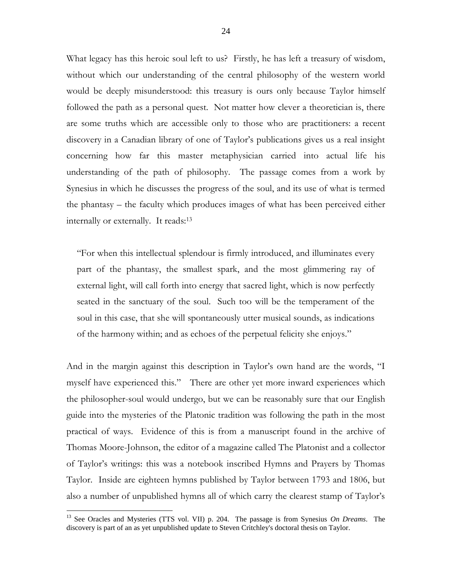What legacy has this heroic soul left to us? Firstly, he has left a treasury of wisdom, without which our understanding of the central philosophy of the western world would be deeply misunderstood: this treasury is ours only because Taylor himself followed the path as a personal quest. Not matter how clever a theoretician is, there are some truths which are accessible only to those who are practitioners: a recent discovery in a Canadian library of one of Taylor's publications gives us a real insight concerning how far this master metaphysician carried into actual life his understanding of the path of philosophy. The passage comes from a work by Synesius in which he discusses the progress of the soul, and its use of what is termed the phantasy – the faculty which produces images of what has been perceived either internally or externally. It reads:<sup>13</sup>

"For when this intellectual splendour is firmly introduced, and illuminates every part of the phantasy, the smallest spark, and the most glimmering ray of external light, will call forth into energy that sacred light, which is now perfectly seated in the sanctuary of the soul. Such too will be the temperament of the soul in this case, that she will spontaneously utter musical sounds, as indications of the harmony within; and as echoes of the perpetual felicity she enjoys."

And in the margin against this description in Taylor's own hand are the words, "I myself have experienced this." There are other yet more inward experiences which the philosopher-soul would undergo, but we can be reasonably sure that our English guide into the mysteries of the Platonic tradition was following the path in the most practical of ways. Evidence of this is from a manuscript found in the archive of Thomas Moore-Johnson, the editor of a magazine called The Platonist and a collector of Taylor's writings: this was a notebook inscribed Hymns and Prayers by Thomas Taylor. Inside are eighteen hymns published by Taylor between 1793 and 1806, but also a number of unpublished hymns all of which carry the clearest stamp of Taylor's

<sup>13</sup> See Oracles and Mysteries (TTS vol. VII) p. 204. The passage is from Synesius *On Dreams*. The discovery is part of an as yet unpublished update to Steven Critchley's doctoral thesis on Taylor.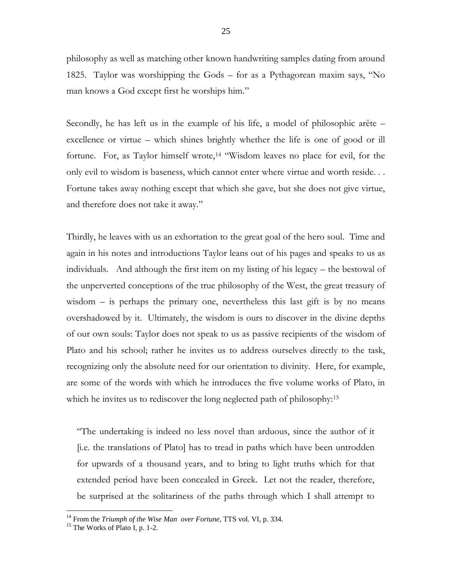philosophy as well as matching other known handwriting samples dating from around 1825. Taylor was worshipping the Gods – for as a Pythagorean maxim says, "No man knows a God except first he worships him."

Secondly, he has left us in the example of his life, a model of philosophic arête – excellence or virtue – which shines brightly whether the life is one of good or ill fortune. For, as Taylor himself wrote,<sup>14</sup> "Wisdom leaves no place for evil, for the only evil to wisdom is baseness, which cannot enter where virtue and worth reside. . . Fortune takes away nothing except that which she gave, but she does not give virtue, and therefore does not take it away."

Thirdly, he leaves with us an exhortation to the great goal of the hero soul. Time and again in his notes and introductions Taylor leans out of his pages and speaks to us as individuals. And although the first item on my listing of his legacy – the bestowal of the unperverted conceptions of the true philosophy of the West, the great treasury of wisdom – is perhaps the primary one, nevertheless this last gift is by no means overshadowed by it. Ultimately, the wisdom is ours to discover in the divine depths of our own souls: Taylor does not speak to us as passive recipients of the wisdom of Plato and his school; rather he invites us to address ourselves directly to the task, recognizing only the absolute need for our orientation to divinity. Here, for example, are some of the words with which he introduces the five volume works of Plato, in which he invites us to rediscover the long neglected path of philosophy:<sup>15</sup>

"The undertaking is indeed no less novel than arduous, since the author of it [i.e. the translations of Plato] has to tread in paths which have been untrodden for upwards of a thousand years, and to bring to light truths which for that extended period have been concealed in Greek. Let not the reader, therefore, be surprised at the solitariness of the paths through which I shall attempt to

<sup>14</sup> From the *Triumph of the Wise Man over Fortune*, TTS vol. VI, p. 334.

 $15$  The Works of Plato I, p. 1-2.